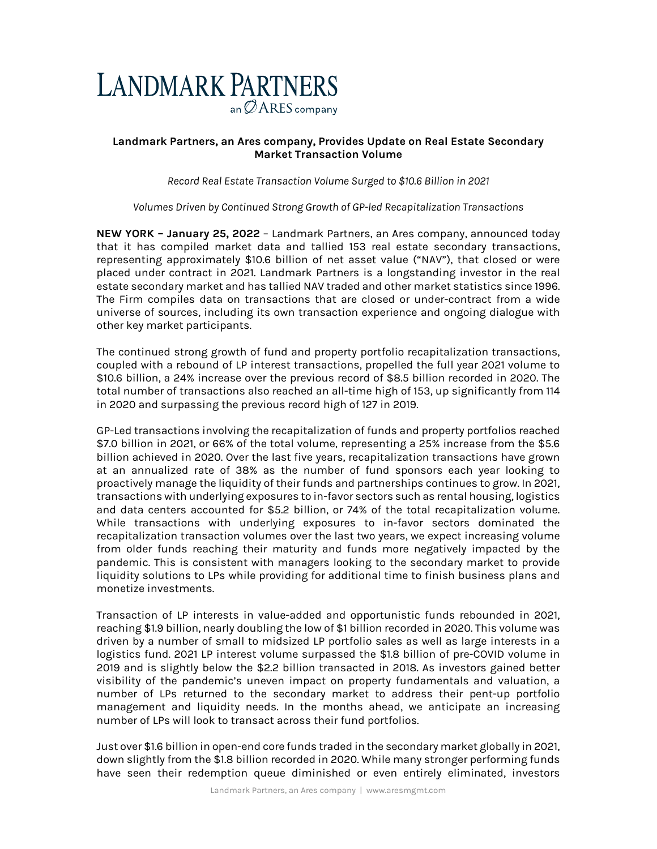

# **Landmark Partners, an Ares company, Provides Update on Real Estate Secondary Market Transaction Volume**

*Record Real Estate Transaction Volume Surged to \$10.6 Billion in 2021*

*Volumes Driven by Continued Strong Growth of GP-led Recapitalization Transactions*

**NEW YORK – January 25, 2022** – Landmark Partners, an Ares company, announced today that it has compiled market data and tallied 153 real estate secondary transactions, representing approximately \$10.6 billion of net asset value ("NAV"), that closed or were placed under contract in 2021. Landmark Partners is a longstanding investor in the real estate secondary market and has tallied NAV traded and other market statistics since 1996. The Firm compiles data on transactions that are closed or under-contract from a wide universe of sources, including its own transaction experience and ongoing dialogue with other key market participants.

The continued strong growth of fund and property portfolio recapitalization transactions, coupled with a rebound of LP interest transactions, propelled the full year 2021 volume to \$10.6 billion, a 24% increase over the previous record of \$8.5 billion recorded in 2020. The total number of transactions also reached an all-time high of 153, up significantly from 114 in 2020 and surpassing the previous record high of 127 in 2019.

GP-Led transactions involving the recapitalization of funds and property portfolios reached \$7.0 billion in 2021, or 66% of the total volume, representing a 25% increase from the \$5.6 billion achieved in 2020. Over the last five years, recapitalization transactions have grown at an annualized rate of 38% as the number of fund sponsors each year looking to proactively manage the liquidity of their funds and partnerships continues to grow. In 2021, transactions with underlying exposures to in-favor sectors such as rental housing, logistics and data centers accounted for \$5.2 billion, or 74% of the total recapitalization volume. While transactions with underlying exposures to in-favor sectors dominated the recapitalization transaction volumes over the last two years, we expect increasing volume from older funds reaching their maturity and funds more negatively impacted by the pandemic. This is consistent with managers looking to the secondary market to provide liquidity solutions to LPs while providing for additional time to finish business plans and monetize investments.

Transaction of LP interests in value-added and opportunistic funds rebounded in 2021, reaching \$1.9 billion, nearly doubling the low of \$1 billion recorded in 2020. This volume was driven by a number of small to midsized LP portfolio sales as well as large interests in a logistics fund. 2021 LP interest volume surpassed the \$1.8 billion of pre-COVID volume in 2019 and is slightly below the \$2.2 billion transacted in 2018. As investors gained better visibility of the pandemic's uneven impact on property fundamentals and valuation, a number of LPs returned to the secondary market to address their pent-up portfolio management and liquidity needs. In the months ahead, we anticipate an increasing number of LPs will look to transact across their fund portfolios.

Just over \$1.6 billion in open-end core funds traded in the secondary market globally in 2021, down slightly from the \$1.8 billion recorded in 2020. While many stronger performing funds have seen their redemption queue diminished or even entirely eliminated, investors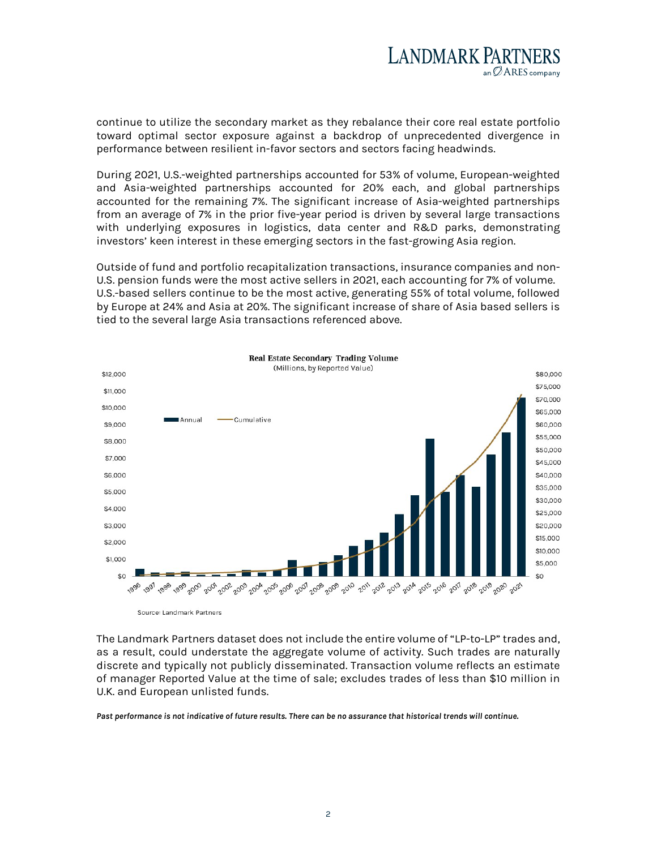

continue to utilize the secondary market as they rebalance their core real estate portfolio toward optimal sector exposure against a backdrop of unprecedented divergence in performance between resilient in-favor sectors and sectors facing headwinds.

During 2021, U.S.-weighted partnerships accounted for 53% of volume, European-weighted and Asia-weighted partnerships accounted for 20% each, and global partnerships accounted for the remaining 7%. The significant increase of Asia-weighted partnerships from an average of 7% in the prior five-year period is driven by several large transactions with underlying exposures in logistics, data center and R&D parks, demonstrating investors' keen interest in these emerging sectors in the fast-growing Asia region.

Outside of fund and portfolio recapitalization transactions, insurance companies and non-U.S. pension funds were the most active sellers in 2021, each accounting for 7% of volume. U.S.-based sellers continue to be the most active, generating 55% of total volume, followed by Europe at 24% and Asia at 20%. The significant increase of share of Asia based sellers is tied to the several large Asia transactions referenced above.



The Landmark Partners dataset does not include the entire volume of "LP-to-LP" trades and, as a result, could understate the aggregate volume of activity. Such trades are naturally discrete and typically not publicly disseminated. Transaction volume reflects an estimate of manager Reported Value at the time of sale; excludes trades of less than \$10 million in U.K. and European unlisted funds.

*Past performance is not indicative of future results. There can be no assurance that historical trends will continue.*